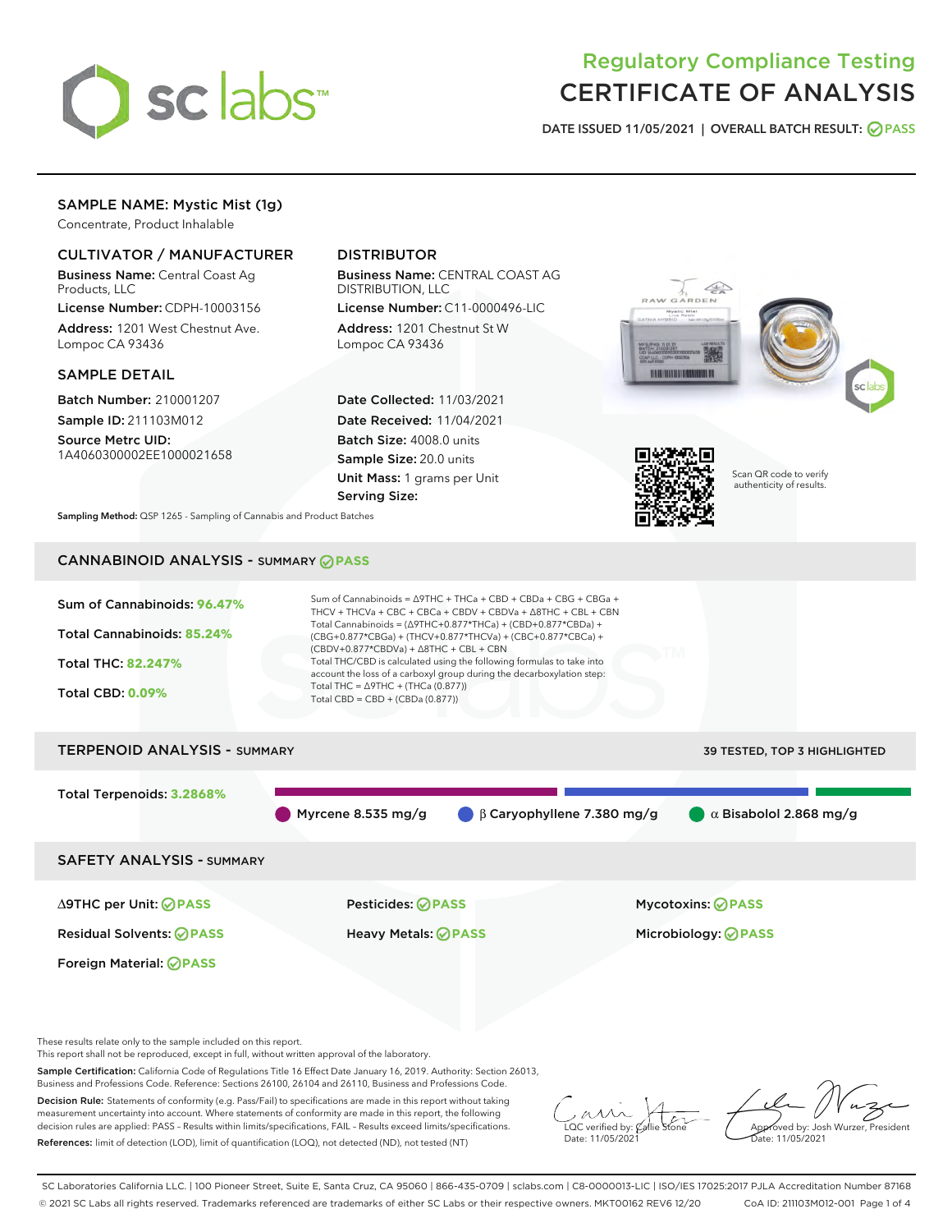

# Regulatory Compliance Testing CERTIFICATE OF ANALYSIS

DATE ISSUED 11/05/2021 | OVERALL BATCH RESULT: @ PASS

## SAMPLE NAME: Mystic Mist (1g)

Concentrate, Product Inhalable

## CULTIVATOR / MANUFACTURER

Business Name: Central Coast Ag Products, LLC

License Number: CDPH-10003156 Address: 1201 West Chestnut Ave. Lompoc CA 93436

#### SAMPLE DETAIL

Batch Number: 210001207 Sample ID: 211103M012

Source Metrc UID: 1A4060300002EE1000021658

## DISTRIBUTOR

Business Name: CENTRAL COAST AG DISTRIBUTION, LLC License Number: C11-0000496-LIC

Address: 1201 Chestnut St W Lompoc CA 93436

Date Collected: 11/03/2021 Date Received: 11/04/2021 Batch Size: 4008.0 units Sample Size: 20.0 units Unit Mass: 1 grams per Unit Serving Size:





Scan QR code to verify authenticity of results.

Sampling Method: QSP 1265 - Sampling of Cannabis and Product Batches

## CANNABINOID ANALYSIS - SUMMARY **PASS**



These results relate only to the sample included on this report.

This report shall not be reproduced, except in full, without written approval of the laboratory.

Sample Certification: California Code of Regulations Title 16 Effect Date January 16, 2019. Authority: Section 26013, Business and Professions Code. Reference: Sections 26100, 26104 and 26110, Business and Professions Code.

Decision Rule: Statements of conformity (e.g. Pass/Fail) to specifications are made in this report without taking measurement uncertainty into account. Where statements of conformity are made in this report, the following decision rules are applied: PASS – Results within limits/specifications, FAIL – Results exceed limits/specifications. References: limit of detection (LOD), limit of quantification (LOQ), not detected (ND), not tested (NT)

 $\overline{\text{C}}$  verified by:  $\mathcal C$ Date: 11/05/2021

Aved by: Josh Wurzer, President Date: 11/05/2021

SC Laboratories California LLC. | 100 Pioneer Street, Suite E, Santa Cruz, CA 95060 | 866-435-0709 | sclabs.com | C8-0000013-LIC | ISO/IES 17025:2017 PJLA Accreditation Number 87168 © 2021 SC Labs all rights reserved. Trademarks referenced are trademarks of either SC Labs or their respective owners. MKT00162 REV6 12/20 CoA ID: 211103M012-001 Page 1 of 4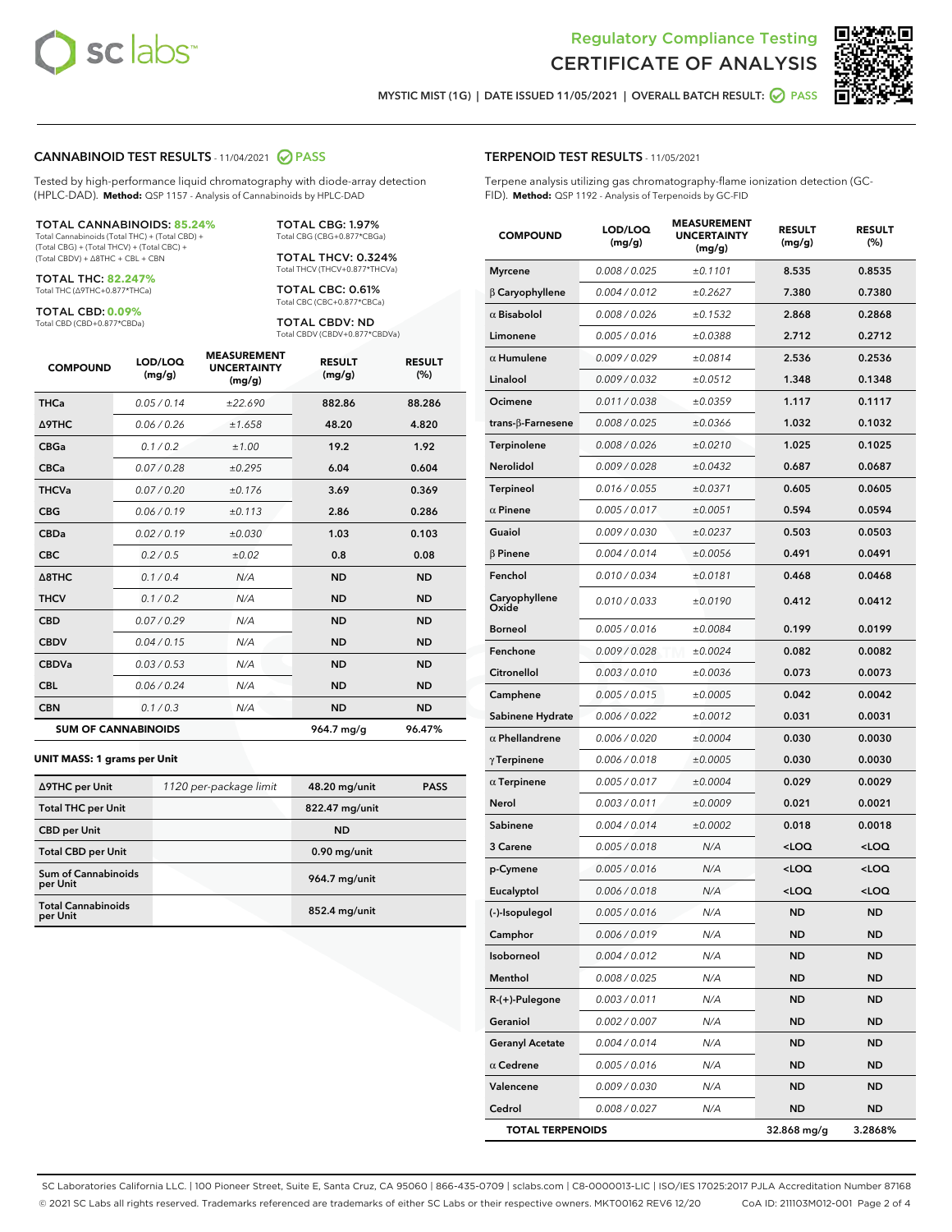



MYSTIC MIST (1G) | DATE ISSUED 11/05/2021 | OVERALL BATCH RESULT: @ PASS

#### CANNABINOID TEST RESULTS - 11/04/2021 2 PASS

Tested by high-performance liquid chromatography with diode-array detection (HPLC-DAD). **Method:** QSP 1157 - Analysis of Cannabinoids by HPLC-DAD

#### TOTAL CANNABINOIDS: **85.24%**

Total Cannabinoids (Total THC) + (Total CBD) + (Total CBG) + (Total THCV) + (Total CBC) + (Total CBDV) + ∆8THC + CBL + CBN

TOTAL THC: **82.247%** Total THC (∆9THC+0.877\*THCa)

TOTAL CBD: **0.09%**

Total CBD (CBD+0.877\*CBDa)

TOTAL CBG: 1.97% Total CBG (CBG+0.877\*CBGa)

TOTAL THCV: 0.324% Total THCV (THCV+0.877\*THCVa)

TOTAL CBC: 0.61% Total CBC (CBC+0.877\*CBCa)

TOTAL CBDV: ND Total CBDV (CBDV+0.877\*CBDVa)

| <b>COMPOUND</b> | LOD/LOQ<br>(mg/g)          | <b>MEASUREMENT</b><br><b>UNCERTAINTY</b><br>(mg/g) | <b>RESULT</b><br>(mg/g) | <b>RESULT</b><br>(%) |
|-----------------|----------------------------|----------------------------------------------------|-------------------------|----------------------|
| <b>THCa</b>     | 0.05/0.14                  | ±22.690                                            | 882.86                  | 88.286               |
| <b>A9THC</b>    | 0.06 / 0.26                | ±1.658                                             | 48.20                   | 4.820                |
| <b>CBGa</b>     | 0.1/0.2                    | ±1.00                                              | 19.2                    | 1.92                 |
| <b>CBCa</b>     | 0.07 / 0.28                | ±0.295                                             | 6.04                    | 0.604                |
| <b>THCVa</b>    | 0.07/0.20                  | ±0.176                                             | 3.69                    | 0.369                |
| <b>CBG</b>      | 0.06/0.19                  | ±0.113                                             | 2.86                    | 0.286                |
| <b>CBDa</b>     | 0.02/0.19                  | ±0.030                                             | 1.03                    | 0.103                |
| <b>CBC</b>      | 0.2 / 0.5                  | ±0.02                                              | 0.8                     | 0.08                 |
| A8THC           | 0.1/0.4                    | N/A                                                | <b>ND</b>               | <b>ND</b>            |
| <b>THCV</b>     | 0.1 / 0.2                  | N/A                                                | <b>ND</b>               | <b>ND</b>            |
| <b>CBD</b>      | 0.07/0.29                  | N/A                                                | <b>ND</b>               | <b>ND</b>            |
| <b>CBDV</b>     | 0.04 / 0.15                | N/A                                                | <b>ND</b>               | <b>ND</b>            |
| <b>CBDVa</b>    | 0.03 / 0.53                | N/A                                                | <b>ND</b>               | <b>ND</b>            |
| <b>CBL</b>      | 0.06 / 0.24                | N/A                                                | <b>ND</b>               | <b>ND</b>            |
| <b>CBN</b>      | 0.1/0.3                    | N/A                                                | <b>ND</b>               | <b>ND</b>            |
|                 | <b>SUM OF CANNABINOIDS</b> |                                                    | 964.7 mg/g              | 96.47%               |

#### **UNIT MASS: 1 grams per Unit**

| ∆9THC per Unit                        | 1120 per-package limit | 48.20 mg/unit   | <b>PASS</b> |
|---------------------------------------|------------------------|-----------------|-------------|
| <b>Total THC per Unit</b>             |                        | 822.47 mg/unit  |             |
| <b>CBD</b> per Unit                   |                        | <b>ND</b>       |             |
| <b>Total CBD per Unit</b>             |                        | $0.90$ mg/unit  |             |
| Sum of Cannabinoids<br>per Unit       |                        | 964.7 mg/unit   |             |
| <b>Total Cannabinoids</b><br>per Unit |                        | $852.4$ mg/unit |             |

#### TERPENOID TEST RESULTS - 11/05/2021

Terpene analysis utilizing gas chromatography-flame ionization detection (GC-FID). **Method:** QSP 1192 - Analysis of Terpenoids by GC-FID

| <b>COMPOUND</b>          | LOD/LOQ<br>(mg/g) | <b>MEASUREMENT</b><br><b>UNCERTAINTY</b><br>(mg/g) | <b>RESULT</b><br>(mg/g)                         | <b>RESULT</b><br>(%) |
|--------------------------|-------------------|----------------------------------------------------|-------------------------------------------------|----------------------|
| <b>Myrcene</b>           | 0.008 / 0.025     | ±0.1101                                            | 8.535                                           | 0.8535               |
| $\beta$ Caryophyllene    | 0.004 / 0.012     | ±0.2627                                            | 7.380                                           | 0.7380               |
| $\alpha$ Bisabolol       | 0.008 / 0.026     | ±0.1532                                            | 2.868                                           | 0.2868               |
| Limonene                 | 0.005 / 0.016     | ±0.0388                                            | 2.712                                           | 0.2712               |
| $\alpha$ Humulene        | 0.009/0.029       | ±0.0814                                            | 2.536                                           | 0.2536               |
| Linalool                 | 0.009 / 0.032     | ±0.0512                                            | 1.348                                           | 0.1348               |
| Ocimene                  | 0.011 / 0.038     | ±0.0359                                            | 1.117                                           | 0.1117               |
| $trans-\beta$ -Farnesene | 0.008 / 0.025     | ±0.0366                                            | 1.032                                           | 0.1032               |
| Terpinolene              | 0.008 / 0.026     | ±0.0210                                            | 1.025                                           | 0.1025               |
| Nerolidol                | 0.009 / 0.028     | ±0.0432                                            | 0.687                                           | 0.0687               |
| <b>Terpineol</b>         | 0.016 / 0.055     | ±0.0371                                            | 0.605                                           | 0.0605               |
| $\alpha$ Pinene          | 0.005 / 0.017     | ±0.0051                                            | 0.594                                           | 0.0594               |
| Guaiol                   | 0.009 / 0.030     | ±0.0237                                            | 0.503                                           | 0.0503               |
| $\beta$ Pinene           | 0.004 / 0.014     | ±0.0056                                            | 0.491                                           | 0.0491               |
| Fenchol                  | 0.010 / 0.034     | ±0.0181                                            | 0.468                                           | 0.0468               |
| Caryophyllene<br>Oxide   | 0.010 / 0.033     | ±0.0190                                            | 0.412                                           | 0.0412               |
| Borneol                  | 0.005 / 0.016     | ±0.0084                                            | 0.199                                           | 0.0199               |
| Fenchone                 | 0.009 / 0.028     | ±0.0024                                            | 0.082                                           | 0.0082               |
| Citronellol              | 0.003 / 0.010     | ±0.0036                                            | 0.073                                           | 0.0073               |
| Camphene                 | 0.005 / 0.015     | ±0.0005                                            | 0.042                                           | 0.0042               |
| Sabinene Hydrate         | 0.006 / 0.022     | ±0.0012                                            | 0.031                                           | 0.0031               |
| $\alpha$ Phellandrene    | 0.006 / 0.020     | ±0.0004                                            | 0.030                                           | 0.0030               |
| $\gamma$ Terpinene       | 0.006 / 0.018     | ±0.0005                                            | 0.030                                           | 0.0030               |
| $\alpha$ Terpinene       | 0.005 / 0.017     | ±0.0004                                            | 0.029                                           | 0.0029               |
| Nerol                    | 0.003 / 0.011     | ±0.0009                                            | 0.021                                           | 0.0021               |
| Sabinene                 | 0.004 / 0.014     | ±0.0002                                            | 0.018                                           | 0.0018               |
| 3 Carene                 | 0.005 / 0.018     | N/A                                                | <loq< th=""><th><loq< th=""></loq<></th></loq<> | <loq< th=""></loq<>  |
| p-Cymene                 | 0.005 / 0.016     | N/A                                                | <loq< th=""><th><loq< th=""></loq<></th></loq<> | <loq< th=""></loq<>  |
| Eucalyptol               | 0.006 / 0.018     | N/A                                                | <loq< th=""><th><loq< th=""></loq<></th></loq<> | <loq< th=""></loq<>  |
| (-)-Isopulegol           | 0.005 / 0.016     | N/A                                                | <b>ND</b>                                       | <b>ND</b>            |
| Camphor                  | 0.006 / 0.019     | N/A                                                | ND                                              | ND                   |
| Isoborneol               | 0.004 / 0.012     | N/A                                                | <b>ND</b>                                       | <b>ND</b>            |
| Menthol                  | 0.008 / 0.025     | N/A                                                | <b>ND</b>                                       | <b>ND</b>            |
| R-(+)-Pulegone           | 0.003 / 0.011     | N/A                                                | ND                                              | ND                   |
| Geraniol                 | 0.002 / 0.007     | N/A                                                | ND                                              | <b>ND</b>            |
| <b>Geranyl Acetate</b>   | 0.004 / 0.014     | N/A                                                | <b>ND</b>                                       | <b>ND</b>            |
| $\alpha$ Cedrene         | 0.005 / 0.016     | N/A                                                | ND                                              | ND                   |
| Valencene                | 0.009 / 0.030     | N/A                                                | ND                                              | <b>ND</b>            |
| Cedrol                   | 0.008 / 0.027     | N/A                                                | <b>ND</b>                                       | ND                   |
| <b>TOTAL TERPENOIDS</b>  |                   |                                                    | 32.868 mg/g                                     | 3.2868%              |

SC Laboratories California LLC. | 100 Pioneer Street, Suite E, Santa Cruz, CA 95060 | 866-435-0709 | sclabs.com | C8-0000013-LIC | ISO/IES 17025:2017 PJLA Accreditation Number 87168 © 2021 SC Labs all rights reserved. Trademarks referenced are trademarks of either SC Labs or their respective owners. MKT00162 REV6 12/20 CoA ID: 211103M012-001 Page 2 of 4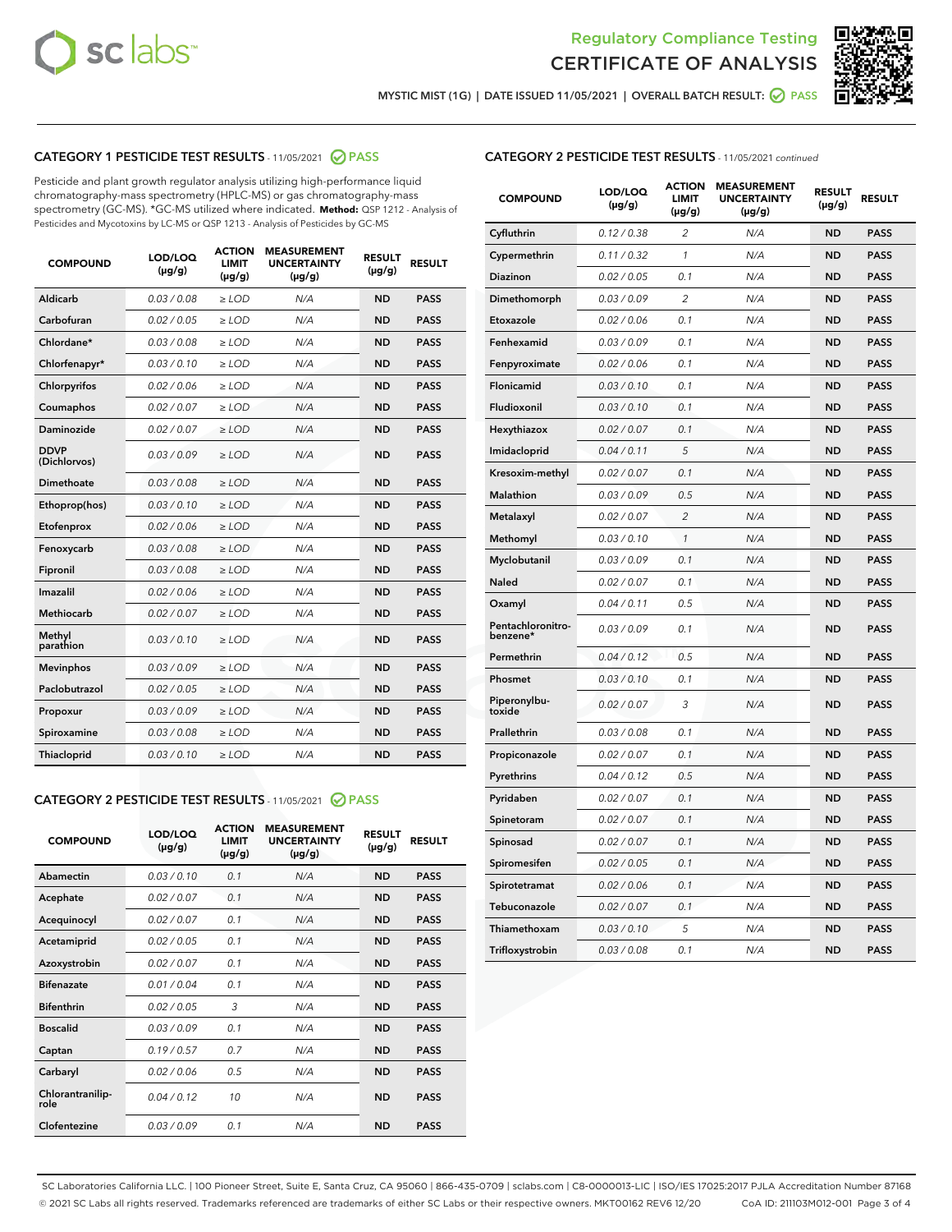



MYSTIC MIST (1G) | DATE ISSUED 11/05/2021 | OVERALL BATCH RESULT: ● PASS

## CATEGORY 1 PESTICIDE TEST RESULTS - 11/05/2021 2 PASS

Pesticide and plant growth regulator analysis utilizing high-performance liquid chromatography-mass spectrometry (HPLC-MS) or gas chromatography-mass spectrometry (GC-MS). \*GC-MS utilized where indicated. **Method:** QSP 1212 - Analysis of Pesticides and Mycotoxins by LC-MS or QSP 1213 - Analysis of Pesticides by GC-MS

| <b>COMPOUND</b>             | LOD/LOQ<br>$(\mu g/g)$ | <b>ACTION</b><br><b>LIMIT</b><br>$(\mu g/g)$ | <b>MEASUREMENT</b><br><b>UNCERTAINTY</b><br>$(\mu g/g)$ | <b>RESULT</b><br>$(\mu g/g)$ | <b>RESULT</b> |
|-----------------------------|------------------------|----------------------------------------------|---------------------------------------------------------|------------------------------|---------------|
| Aldicarb                    | 0.03/0.08              | $\ge$ LOD                                    | N/A                                                     | <b>ND</b>                    | <b>PASS</b>   |
| Carbofuran                  | 0.02/0.05              | $>$ LOD                                      | N/A                                                     | <b>ND</b>                    | <b>PASS</b>   |
| Chlordane*                  | 0.03 / 0.08            | $\ge$ LOD                                    | N/A                                                     | <b>ND</b>                    | <b>PASS</b>   |
| Chlorfenapyr*               | 0.03/0.10              | $\ge$ LOD                                    | N/A                                                     | <b>ND</b>                    | <b>PASS</b>   |
| Chlorpyrifos                | 0.02 / 0.06            | $\ge$ LOD                                    | N/A                                                     | <b>ND</b>                    | <b>PASS</b>   |
| Coumaphos                   | 0.02 / 0.07            | $>$ LOD                                      | N/A                                                     | <b>ND</b>                    | <b>PASS</b>   |
| Daminozide                  | 0.02/0.07              | $>$ LOD                                      | N/A                                                     | <b>ND</b>                    | <b>PASS</b>   |
| <b>DDVP</b><br>(Dichlorvos) | 0.03/0.09              | $\ge$ LOD                                    | N/A                                                     | <b>ND</b>                    | <b>PASS</b>   |
| Dimethoate                  | 0.03 / 0.08            | $\ge$ LOD                                    | N/A                                                     | <b>ND</b>                    | <b>PASS</b>   |
| Ethoprop(hos)               | 0.03/0.10              | $>$ LOD                                      | N/A                                                     | <b>ND</b>                    | <b>PASS</b>   |
| Etofenprox                  | 0.02 / 0.06            | $\ge$ LOD                                    | N/A                                                     | <b>ND</b>                    | <b>PASS</b>   |
| Fenoxycarb                  | 0.03 / 0.08            | $\ge$ LOD                                    | N/A                                                     | <b>ND</b>                    | <b>PASS</b>   |
| Fipronil                    | 0.03/0.08              | $\ge$ LOD                                    | N/A                                                     | <b>ND</b>                    | <b>PASS</b>   |
| Imazalil                    | 0.02 / 0.06            | $\ge$ LOD                                    | N/A                                                     | <b>ND</b>                    | <b>PASS</b>   |
| <b>Methiocarb</b>           | 0.02 / 0.07            | $\ge$ LOD                                    | N/A                                                     | <b>ND</b>                    | <b>PASS</b>   |
| Methyl<br>parathion         | 0.03/0.10              | $\ge$ LOD                                    | N/A                                                     | <b>ND</b>                    | <b>PASS</b>   |
| <b>Mevinphos</b>            | 0.03/0.09              | $>$ LOD                                      | N/A                                                     | <b>ND</b>                    | <b>PASS</b>   |
| Paclobutrazol               | 0.02 / 0.05            | $\ge$ LOD                                    | N/A                                                     | <b>ND</b>                    | <b>PASS</b>   |
| Propoxur                    | 0.03/0.09              | $\ge$ LOD                                    | N/A                                                     | <b>ND</b>                    | <b>PASS</b>   |
| Spiroxamine                 | 0.03 / 0.08            | $\ge$ LOD                                    | N/A                                                     | <b>ND</b>                    | <b>PASS</b>   |
| Thiacloprid                 | 0.03/0.10              | $\ge$ LOD                                    | N/A                                                     | <b>ND</b>                    | <b>PASS</b>   |

#### CATEGORY 2 PESTICIDE TEST RESULTS - 11/05/2021 @ PASS

| <b>COMPOUND</b>          | LOD/LOO<br>$(\mu g/g)$ | <b>ACTION</b><br>LIMIT<br>$(\mu g/g)$ | <b>MEASUREMENT</b><br><b>UNCERTAINTY</b><br>$(\mu g/g)$ | <b>RESULT</b><br>$(\mu g/g)$ | <b>RESULT</b> |
|--------------------------|------------------------|---------------------------------------|---------------------------------------------------------|------------------------------|---------------|
| Abamectin                | 0.03/0.10              | 0.1                                   | N/A                                                     | <b>ND</b>                    | <b>PASS</b>   |
| Acephate                 | 0.02/0.07              | 0.1                                   | N/A                                                     | <b>ND</b>                    | <b>PASS</b>   |
| Acequinocyl              | 0.02/0.07              | 0.1                                   | N/A                                                     | <b>ND</b>                    | <b>PASS</b>   |
| Acetamiprid              | 0.02/0.05              | 0.1                                   | N/A                                                     | <b>ND</b>                    | <b>PASS</b>   |
| Azoxystrobin             | 0.02/0.07              | 0.1                                   | N/A                                                     | <b>ND</b>                    | <b>PASS</b>   |
| <b>Bifenazate</b>        | 0.01/0.04              | 0.1                                   | N/A                                                     | <b>ND</b>                    | <b>PASS</b>   |
| <b>Bifenthrin</b>        | 0.02/0.05              | 3                                     | N/A                                                     | <b>ND</b>                    | <b>PASS</b>   |
| <b>Boscalid</b>          | 0.03/0.09              | 0.1                                   | N/A                                                     | <b>ND</b>                    | <b>PASS</b>   |
| Captan                   | 0.19/0.57              | 0.7                                   | N/A                                                     | <b>ND</b>                    | <b>PASS</b>   |
| Carbaryl                 | 0.02/0.06              | 0.5                                   | N/A                                                     | <b>ND</b>                    | <b>PASS</b>   |
| Chlorantranilip-<br>role | 0.04/0.12              | 10                                    | N/A                                                     | <b>ND</b>                    | <b>PASS</b>   |
| Clofentezine             | 0.03/0.09              | 0.1                                   | N/A                                                     | <b>ND</b>                    | <b>PASS</b>   |

### CATEGORY 2 PESTICIDE TEST RESULTS - 11/05/2021 continued

| <b>COMPOUND</b>               | LOD/LOQ<br>(µg/g) | <b>ACTION</b><br><b>LIMIT</b><br>$(\mu g/g)$ | <b>MEASUREMENT</b><br><b>UNCERTAINTY</b><br>(µg/g) | <b>RESULT</b><br>(µg/g) | <b>RESULT</b> |
|-------------------------------|-------------------|----------------------------------------------|----------------------------------------------------|-------------------------|---------------|
| Cyfluthrin                    | 0.12 / 0.38       | $\overline{c}$                               | N/A                                                | <b>ND</b>               | <b>PASS</b>   |
| Cypermethrin                  | 0.11 / 0.32       | 1                                            | N/A                                                | <b>ND</b>               | <b>PASS</b>   |
| Diazinon                      | 0.02 / 0.05       | 0.1                                          | N/A                                                | <b>ND</b>               | <b>PASS</b>   |
| Dimethomorph                  | 0.03 / 0.09       | $\overline{c}$                               | N/A                                                | <b>ND</b>               | <b>PASS</b>   |
| Etoxazole                     | 0.02 / 0.06       | 0.1                                          | N/A                                                | ND                      | <b>PASS</b>   |
| Fenhexamid                    | 0.03 / 0.09       | 0.1                                          | N/A                                                | ND                      | <b>PASS</b>   |
| Fenpyroximate                 | 0.02 / 0.06       | 0.1                                          | N/A                                                | ND                      | <b>PASS</b>   |
| Flonicamid                    | 0.03 / 0.10       | 0.1                                          | N/A                                                | ND                      | <b>PASS</b>   |
| Fludioxonil                   | 0.03 / 0.10       | 0.1                                          | N/A                                                | <b>ND</b>               | <b>PASS</b>   |
| Hexythiazox                   | 0.02 / 0.07       | 0.1                                          | N/A                                                | <b>ND</b>               | <b>PASS</b>   |
| Imidacloprid                  | 0.04 / 0.11       | 5                                            | N/A                                                | <b>ND</b>               | <b>PASS</b>   |
| Kresoxim-methyl               | 0.02 / 0.07       | 0.1                                          | N/A                                                | <b>ND</b>               | <b>PASS</b>   |
| Malathion                     | 0.03 / 0.09       | 0.5                                          | N/A                                                | <b>ND</b>               | <b>PASS</b>   |
| Metalaxyl                     | 0.02 / 0.07       | $\overline{2}$                               | N/A                                                | <b>ND</b>               | <b>PASS</b>   |
| Methomyl                      | 0.03/0.10         | 1                                            | N/A                                                | <b>ND</b>               | <b>PASS</b>   |
| Myclobutanil                  | 0.03 / 0.09       | 0.1                                          | N/A                                                | ND                      | <b>PASS</b>   |
| Naled                         | 0.02 / 0.07       | 0.1                                          | N/A                                                | ND                      | PASS          |
| Oxamyl                        | 0.04 / 0.11       | 0.5                                          | N/A                                                | <b>ND</b>               | <b>PASS</b>   |
| Pentachloronitro-<br>benzene* | 0.03/0.09         | 0.1                                          | N/A                                                | ND                      | <b>PASS</b>   |
| Permethrin                    | 0.04 / 0.12       | 0.5                                          | N/A                                                | ND                      | <b>PASS</b>   |
| Phosmet                       | 0.03 / 0.10       | 0.1                                          | N/A                                                | <b>ND</b>               | <b>PASS</b>   |
| Piperonylbu-<br>toxide        | 0.02 / 0.07       | 3                                            | N/A                                                | ND                      | PASS          |
| Prallethrin                   | 0.03 / 0.08       | 0.1                                          | N/A                                                | ND                      | <b>PASS</b>   |
| Propiconazole                 | 0.02 / 0.07       | 0.1                                          | N/A                                                | ND                      | PASS          |
| Pyrethrins                    | 0.04 / 0.12       | 0.5                                          | N/A                                                | <b>ND</b>               | <b>PASS</b>   |
| Pyridaben                     | 0.02 / 0.07       | 0.1                                          | N/A                                                | ND                      | PASS          |
| Spinetoram                    | 0.02 / 0.07       | 0.1                                          | N/A                                                | ND                      | <b>PASS</b>   |
| Spinosad                      | 0.02 / 0.07       | 0.1                                          | N/A                                                | <b>ND</b>               | <b>PASS</b>   |
| Spiromesifen                  | 0.02 / 0.05       | 0.1                                          | N/A                                                | ND                      | <b>PASS</b>   |
| Spirotetramat                 | 0.02 / 0.06       | 0.1                                          | N/A                                                | ND                      | <b>PASS</b>   |
| Tebuconazole                  | 0.02 / 0.07       | 0.1                                          | N/A                                                | ND                      | <b>PASS</b>   |
| Thiamethoxam                  | 0.03 / 0.10       | 5                                            | N/A                                                | ND                      | <b>PASS</b>   |
| Trifloxystrobin               | 0.03 / 0.08       | 0.1                                          | N/A                                                | <b>ND</b>               | PASS          |

SC Laboratories California LLC. | 100 Pioneer Street, Suite E, Santa Cruz, CA 95060 | 866-435-0709 | sclabs.com | C8-0000013-LIC | ISO/IES 17025:2017 PJLA Accreditation Number 87168 © 2021 SC Labs all rights reserved. Trademarks referenced are trademarks of either SC Labs or their respective owners. MKT00162 REV6 12/20 CoA ID: 211103M012-001 Page 3 of 4